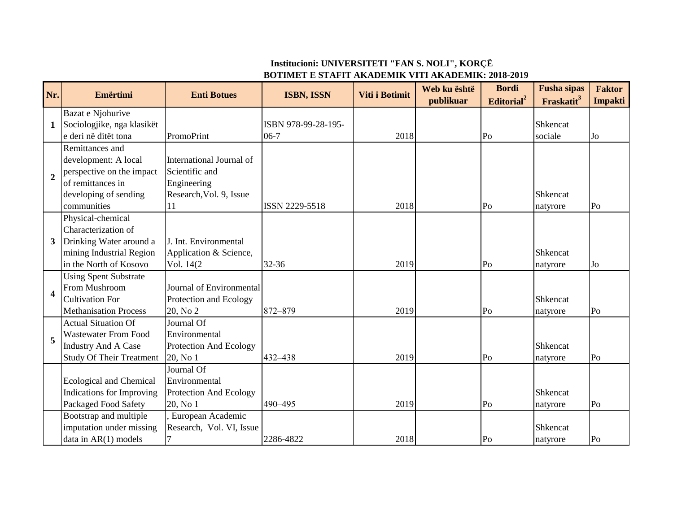## **Institucioni: UNIVERSITETI "FAN S. NOLI", KORÇË BOTIMET E STAFIT AKADEMIK VITI AKADEMIK: 2018-2019**

| Nr.            | Emërtimi                         | <b>Enti Botues</b>            | <b>ISBN, ISSN</b>   | Viti i Botimit | Web ku është<br>publikuar | <b>Bordi</b><br>Editorial <sup>2</sup> | <b>Fusha</b> sipas<br>Fraskatit <sup>3</sup> | <b>Faktor</b><br><b>Impakti</b> |
|----------------|----------------------------------|-------------------------------|---------------------|----------------|---------------------------|----------------------------------------|----------------------------------------------|---------------------------------|
|                | Bazat e Njohurive                |                               |                     |                |                           |                                        |                                              |                                 |
| 1              | Sociologjike, nga klasikët       |                               | ISBN 978-99-28-195- |                |                           |                                        | Shkencat                                     |                                 |
|                | e deri në ditët tona             | PromoPrint                    | $06-7$              | 2018           |                           | Po                                     | sociale                                      | Jo                              |
|                | Remittances and                  |                               |                     |                |                           |                                        |                                              |                                 |
|                | development: A local             | International Journal of      |                     |                |                           |                                        |                                              |                                 |
|                | perspective on the impact        | Scientific and                |                     |                |                           |                                        |                                              |                                 |
| $\overline{2}$ | of remittances in                | Engineering                   |                     |                |                           |                                        |                                              |                                 |
|                | developing of sending            | Research, Vol. 9, Issue       |                     |                |                           |                                        | Shkencat                                     |                                 |
|                | communities                      | 11                            | ISSN 2229-5518      | 2018           |                           | Po                                     | natyrore                                     | Po                              |
|                | Physical-chemical                |                               |                     |                |                           |                                        |                                              |                                 |
|                | Characterization of              |                               |                     |                |                           |                                        |                                              |                                 |
| 3 <sup>1</sup> | Drinking Water around a          | J. Int. Environmental         |                     |                |                           |                                        |                                              |                                 |
|                | mining Industrial Region         | Application & Science,        |                     |                |                           |                                        | Shkencat                                     |                                 |
|                | in the North of Kosovo           | Vol. 14(2)                    | $32 - 36$           | 2019           |                           | Po                                     | natyrore                                     | Jo                              |
|                | <b>Using Spent Substrate</b>     |                               |                     |                |                           |                                        |                                              |                                 |
| 4              | From Mushroom                    | Journal of Environmental      |                     |                |                           |                                        |                                              |                                 |
|                | <b>Cultivation For</b>           | Protection and Ecology        |                     |                |                           |                                        | Shkencat                                     |                                 |
|                | <b>Methanisation Process</b>     | 20, No 2                      | 872-879             | 2019           |                           | Po                                     | natyrore                                     | Po                              |
|                | <b>Actual Situation Of</b>       | Journal Of                    |                     |                |                           |                                        |                                              |                                 |
| 5              | <b>Wastewater From Food</b>      | Environmental                 |                     |                |                           |                                        |                                              |                                 |
|                | <b>Industry And A Case</b>       | Protection And Ecology        |                     |                |                           |                                        | Shkencat                                     |                                 |
|                | <b>Study Of Their Treatment</b>  | 20, No 1                      | 432-438             | 2019           |                           | Po                                     | natyrore                                     | Po                              |
|                |                                  | Journal Of                    |                     |                |                           |                                        |                                              |                                 |
|                | <b>Ecological and Chemical</b>   | Environmental                 |                     |                |                           |                                        |                                              |                                 |
|                | <b>Indications for Improving</b> | <b>Protection And Ecology</b> |                     |                |                           |                                        | Shkencat                                     |                                 |
|                | Packaged Food Safety             | 20, No 1                      | 490-495             | 2019           |                           | Po                                     | natyrore                                     | Po                              |
|                | Bootstrap and multiple           | European Academic             |                     |                |                           |                                        |                                              |                                 |
|                | imputation under missing         | Research, Vol. VI, Issue      |                     |                |                           |                                        | Shkencat                                     |                                 |
|                | data in $AR(1)$ models           |                               | 2286-4822           | 2018           |                           | Po                                     | natyrore                                     | Po                              |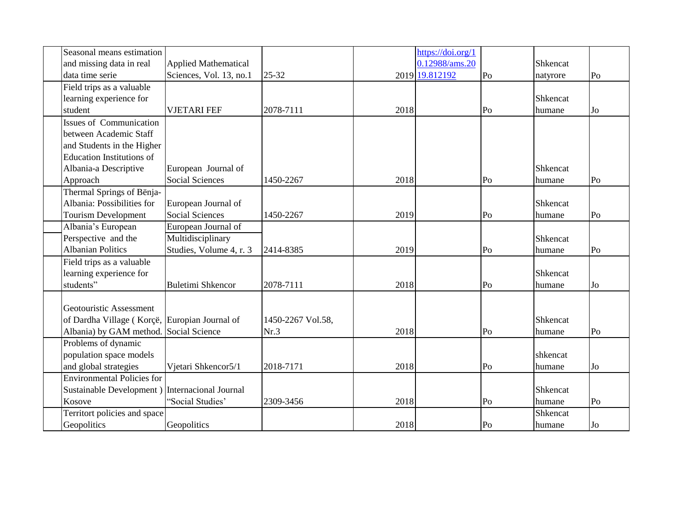| Seasonal means estimation                       |                             |                   |      | https://doi.org/1 |                |               |                |
|-------------------------------------------------|-----------------------------|-------------------|------|-------------------|----------------|---------------|----------------|
| and missing data in real                        | <b>Applied Mathematical</b> |                   |      | 0.12988/ams.20    |                | Shkencat      |                |
| data time serie                                 | Sciences, Vol. 13, no.1     | 25-32             |      | 2019 19.812192    | Po             | natyrore      | Po             |
| Field trips as a valuable                       |                             |                   |      |                   |                |               |                |
| learning experience for                         |                             |                   |      |                   |                | Shkencat      |                |
| student                                         | <b>VJETARI FEF</b>          | 2078-7111         | 2018 |                   | Po             | humane        | J <sub>0</sub> |
| <b>Issues of Communication</b>                  |                             |                   |      |                   |                |               |                |
| between Academic Staff                          |                             |                   |      |                   |                |               |                |
| and Students in the Higher                      |                             |                   |      |                   |                |               |                |
| <b>Education Institutions of</b>                |                             |                   |      |                   |                |               |                |
| Albania-a Descriptive                           | European Journal of         |                   |      |                   |                | Shkencat      |                |
| Approach                                        | <b>Social Sciences</b>      | 1450-2267         | 2018 |                   | Po             | humane        | Po             |
| Thermal Springs of Bënja-                       |                             |                   |      |                   |                |               |                |
| Albania: Possibilities for                      | European Journal of         |                   |      |                   |                | Shkencat      |                |
| <b>Tourism Development</b>                      | <b>Social Sciences</b>      | 1450-2267         | 2019 |                   | Po             | humane        | Po             |
| Albania's European                              | European Journal of         |                   |      |                   |                |               |                |
| Perspective and the                             | Multidisciplinary           |                   |      |                   |                | Shkencat      |                |
| <b>Albanian Politics</b>                        | Studies, Volume 4, r. 3     | 2414-8385         | 2019 |                   | Po             | humane        | P <sub>0</sub> |
| Field trips as a valuable                       |                             |                   |      |                   |                |               |                |
| learning experience for                         |                             |                   |      |                   |                | Shkencat      |                |
| students"                                       | <b>Buletimi Shkencor</b>    | 2078-7111         | 2018 |                   | Po             | humane        | J <sub>0</sub> |
|                                                 |                             |                   |      |                   |                |               |                |
| Geotouristic Assessment                         |                             |                   |      |                   |                |               |                |
| of Dardha Village (Korçë, Europian Journal of   |                             | 1450-2267 Vol.58, |      |                   |                | Shkencat      |                |
| Albania) by GAM method.                         | Social Science              | Nr.3              | 2018 |                   | Po             | humane        | Po             |
| Problems of dynamic                             |                             |                   |      |                   |                |               |                |
| population space models                         |                             |                   |      |                   |                | shkencat      |                |
| and global strategies                           | Vjetari Shkencor5/1         | 2018-7171         | 2018 |                   | Po             | humane        | J <sub>0</sub> |
| <b>Environmental Policies for</b>               |                             |                   |      |                   |                |               |                |
| Sustainable Development ) Internacional Journal |                             |                   |      |                   |                | Shkencat      |                |
| Kosove                                          | "Social Studies"            | 2309-3456         | 2018 |                   | Po             | humane        | Po             |
| Territort policies and space                    |                             |                   |      |                   |                | Shkencat      |                |
| Geopolitics                                     | Geopolitics                 |                   | 2018 |                   | P <sub>o</sub> | <b>humane</b> | Jo             |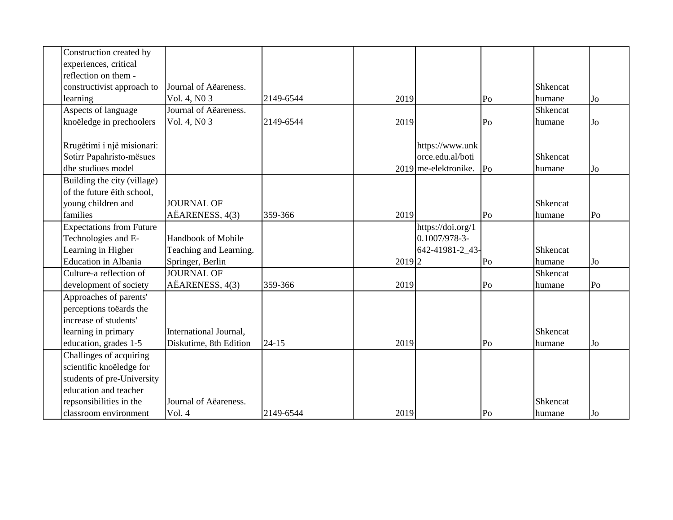| Construction created by         |                        |           |           |                      |                |          |                |
|---------------------------------|------------------------|-----------|-----------|----------------------|----------------|----------|----------------|
| experiences, critical           |                        |           |           |                      |                |          |                |
| reflection on them -            |                        |           |           |                      |                |          |                |
| constructivist approach to      | Journal of Aëareness.  |           |           |                      |                | Shkencat |                |
| learning                        | Vol. 4, N0 3           | 2149-6544 | 2019      |                      | Po             | humane   | J <sub>0</sub> |
| Aspects of language             | Journal of Aëareness.  |           |           |                      |                | Shkencat |                |
| knoëledge in prechoolers        | Vol. 4, N0 3           | 2149-6544 | 2019      |                      | Po             | humane   | Jo             |
|                                 |                        |           |           |                      |                |          |                |
| Rrugëtimi i një misionari:      |                        |           |           | https://www.unk      |                |          |                |
| Sotirr Papahristo-mësues        |                        |           |           | orce.edu.al/boti     |                | Shkencat |                |
| dhe studiues model              |                        |           |           | 2019 me-elektronike. | P <sub>o</sub> | humane   | J <sub>0</sub> |
| Building the city (village)     |                        |           |           |                      |                |          |                |
| of the future eith school,      |                        |           |           |                      |                |          |                |
| young children and              | <b>JOURNAL OF</b>      |           |           |                      |                | Shkencat |                |
| families                        | AËARENESS, 4(3)        | 359-366   | 2019      |                      | Po             | humane   | Po             |
| <b>Expectations from Future</b> |                        |           |           | https://doi.org/1    |                |          |                |
| Technologies and E-             | Handbook of Mobile     |           |           | 0.1007/978-3-        |                |          |                |
| Learning in Higher              | Teaching and Learning. |           |           | 642-41981-2_43-      |                | Shkencat |                |
| <b>Education</b> in Albania     | Springer, Berlin       |           | $2019$  2 |                      | Po             | humane   | Jo             |
| Culture-a reflection of         | <b>JOURNAL OF</b>      |           |           |                      |                | Shkencat |                |
| development of society          | AËARENESS, 4(3)        | 359-366   | 2019      |                      | Po             | humane   | Po             |
| Approaches of parents'          |                        |           |           |                      |                |          |                |
| perceptions toëards the         |                        |           |           |                      |                |          |                |
| increase of students'           |                        |           |           |                      |                |          |                |
| learning in primary             | International Journal, |           |           |                      |                | Shkencat |                |
| education, grades 1-5           | Diskutime, 8th Edition | $24 - 15$ | 2019      |                      | Po             | humane   | J <sub>0</sub> |
| Challinges of acquiring         |                        |           |           |                      |                |          |                |
| scientific knoëledge for        |                        |           |           |                      |                |          |                |
| students of pre-University      |                        |           |           |                      |                |          |                |
| education and teacher           |                        |           |           |                      |                |          |                |
| repsonsibilities in the         | Journal of Aëareness.  |           |           |                      |                | Shkencat |                |
| classroom environment           | Vol. 4                 | 2149-6544 | 2019      |                      | Po             | humane   | Jo             |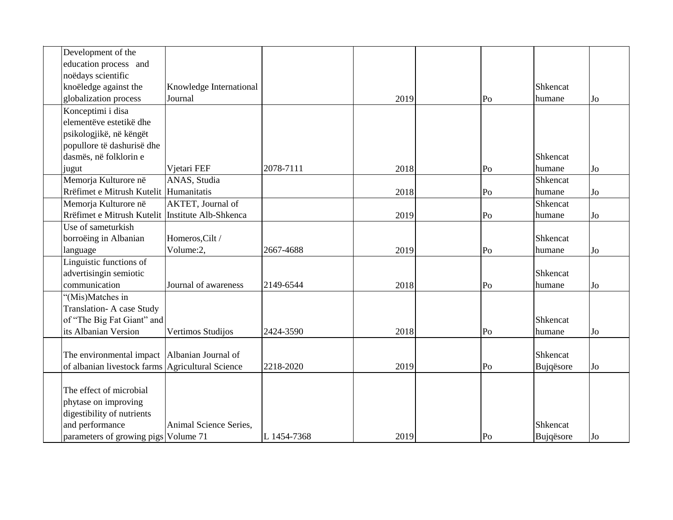| Development of the                               |                         |             |      |    |           |    |
|--------------------------------------------------|-------------------------|-------------|------|----|-----------|----|
| education process and                            |                         |             |      |    |           |    |
| noëdays scientific                               |                         |             |      |    |           |    |
| knoëledge against the                            | Knowledge International |             |      |    | Shkencat  |    |
| globalization process                            | Journal                 |             | 2019 | Po | humane    | Jo |
| Konceptimi i disa                                |                         |             |      |    |           |    |
| elementëve estetikë dhe                          |                         |             |      |    |           |    |
| psikologjikë, në këngët                          |                         |             |      |    |           |    |
| popullore të dashurisë dhe                       |                         |             |      |    |           |    |
| dasmës, në folklorin e                           |                         |             |      |    | Shkencat  |    |
| jugut                                            | Vjetari FEF             | 2078-7111   | 2018 | Po | humane    | Jo |
| Memorja Kulturore në                             | ANAS, Studia            |             |      |    | Shkencat  |    |
| Rrëfimet e Mitrush Kutelit Humanitatis           |                         |             | 2018 | Po | humane    | Jo |
| Memorja Kulturore në                             | AKTET, Journal of       |             |      |    | Shkencat  |    |
| Rrëfimet e Mitrush Kutelit                       | Institute Alb-Shkenca   |             | 2019 | Po | humane    | Jo |
| Use of sameturkish                               |                         |             |      |    |           |    |
| borroëing in Albanian                            | Homeros, Cilt /         |             |      |    | Shkencat  |    |
| language                                         | Volume:2,               | 2667-4688   | 2019 | Po | humane    | Jo |
| Linguistic functions of                          |                         |             |      |    |           |    |
| advertisingin semiotic                           |                         |             |      |    | Shkencat  |    |
| communication                                    | Journal of awareness    | 2149-6544   | 2018 | Po | humane    | Jo |
| "(Mis)Matches in                                 |                         |             |      |    |           |    |
| Translation- A case Study                        |                         |             |      |    |           |    |
| of "The Big Fat Giant" and                       |                         |             |      |    | Shkencat  |    |
| its Albanian Version                             | Vertimos Studijos       | 2424-3590   | 2018 | Po | humane    | Jo |
|                                                  |                         |             |      |    |           |    |
| The environmental impact                         | Albanian Journal of     |             |      |    | Shkencat  |    |
| of albanian livestock farms Agricultural Science |                         | 2218-2020   | 2019 | Po | Bujqësore | Jo |
|                                                  |                         |             |      |    |           |    |
| The effect of microbial                          |                         |             |      |    |           |    |
| phytase on improving                             |                         |             |      |    |           |    |
| digestibility of nutrients                       |                         |             |      |    |           |    |
| and performance                                  | Animal Science Series,  |             |      |    | Shkencat  |    |
| parameters of growing pigs Volume 71             |                         | L 1454-7368 | 2019 | Po | Bujqësore | Jo |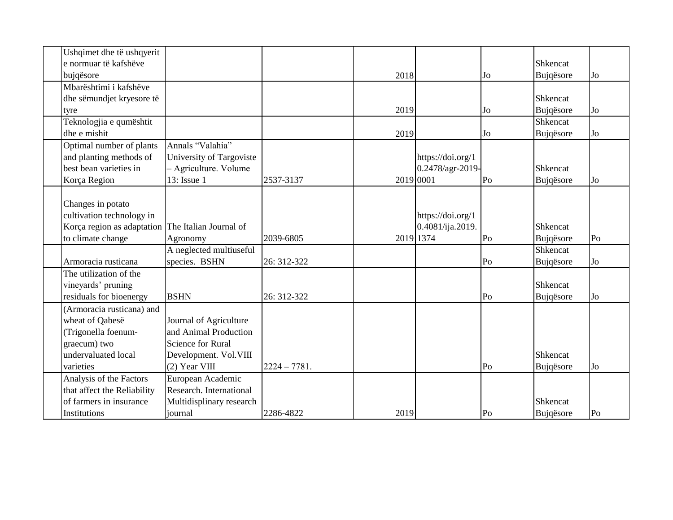| Ushqimet dhe të ushqyerit                         |                          |                |           |                   |                |                 |                |
|---------------------------------------------------|--------------------------|----------------|-----------|-------------------|----------------|-----------------|----------------|
| e normuar të kafshëve                             |                          |                |           |                   |                | Shkencat        |                |
| bujqësore                                         |                          |                | 2018      |                   | Jo             | Bujqësore       | Jo             |
| Mbarështimi i kafshëve                            |                          |                |           |                   |                |                 |                |
| dhe sëmundjet kryesore të                         |                          |                |           |                   |                | Shkencat        |                |
| tyre                                              |                          |                | 2019      |                   | J <sub>0</sub> | Bujqësore       | J <sub>0</sub> |
| Teknologjia e qumështit                           |                          |                |           |                   |                | Shkencat        |                |
| dhe e mishit                                      |                          |                | 2019      |                   | Jo             | Bujqësore       | J <sub>0</sub> |
| Optimal number of plants                          | Annals "Valahia"         |                |           |                   |                |                 |                |
| and planting methods of                           | University of Targoviste |                |           | https://doi.org/1 |                |                 |                |
| best bean varieties in                            | - Agriculture. Volume    |                |           | 0.2478/agr-2019-  |                | Shkencat        |                |
| Korça Region                                      | 13: Issue 1              | 2537-3137      | 2019 0001 |                   | Po             | Bujqësore       | J <sub>0</sub> |
|                                                   |                          |                |           |                   |                |                 |                |
| Changes in potato                                 |                          |                |           |                   |                |                 |                |
| cultivation technology in                         |                          |                |           | https://doi.org/1 |                |                 |                |
| Korça region as adaptation The Italian Journal of |                          |                |           | 0.4081/ija.2019.  |                | <b>Shkencat</b> |                |
| to climate change                                 | Agronomy                 | 2039-6805      |           | 2019 1374         | Po             | Bujqësore       | Po             |
|                                                   | A neglected multiuseful  |                |           |                   |                | Shkencat        |                |
| Armoracia rusticana                               | species. BSHN            | 26: 312-322    |           |                   | Po             | Bujqësore       | Jo             |
| The utilization of the                            |                          |                |           |                   |                |                 |                |
| vineyards' pruning                                |                          |                |           |                   |                | Shkencat        |                |
| residuals for bioenergy                           | <b>BSHN</b>              | 26: 312-322    |           |                   | P <sub>O</sub> | Bujqësore       | Jo             |
| (Armoracia rusticana) and                         |                          |                |           |                   |                |                 |                |
| wheat of Qabesë                                   | Journal of Agriculture   |                |           |                   |                |                 |                |
| (Trigonella foenum-                               | and Animal Production    |                |           |                   |                |                 |                |
| graecum) two                                      | <b>Science for Rural</b> |                |           |                   |                |                 |                |
| undervaluated local                               | Development. Vol. VIII   |                |           |                   |                | Shkencat        |                |
| varieties                                         | (2) Year VIII            | $2224 - 7781.$ |           |                   | Po             | Bujqësore       | J <sub>0</sub> |
| Analysis of the Factors                           | European Academic        |                |           |                   |                |                 |                |
| that affect the Reliability                       | Research. International  |                |           |                   |                |                 |                |
| of farmers in insurance                           | Multidisplinary research |                |           |                   |                | Shkencat        |                |
| Institutions                                      | journal                  | 2286-4822      | 2019      |                   | Po             | Bujqësore       | P <sub>0</sub> |